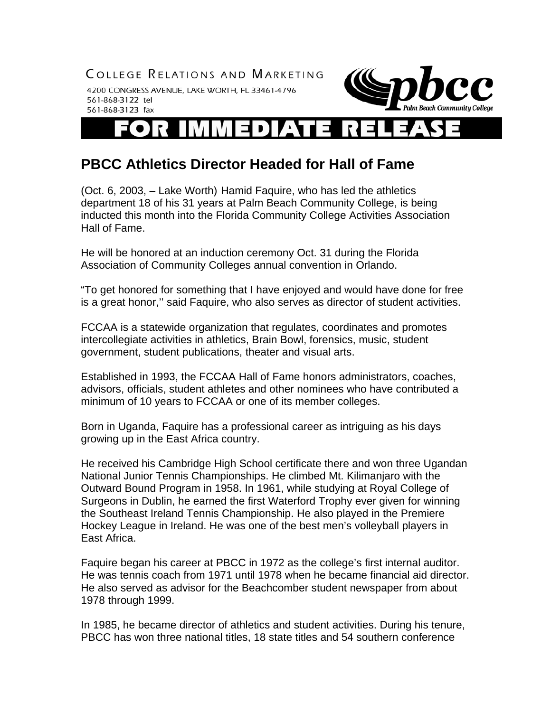COLLEGE RELATIONS AND MARKETING

4200 CONGRESS AVENUE, LAKE WORTH, FL 33461-4796 561-868-3122 tel 561-868-3123 fax



## R ▗▅ D

## **PBCC Athletics Director Headed for Hall of Fame**

(Oct. 6, 2003, – Lake Worth) Hamid Faquire, who has led the athletics department 18 of his 31 years at Palm Beach Community College, is being inducted this month into the Florida Community College Activities Association Hall of Fame.

He will be honored at an induction ceremony Oct. 31 during the Florida Association of Community Colleges annual convention in Orlando.

"To get honored for something that I have enjoyed and would have done for free is a great honor,'' said Faquire, who also serves as director of student activities.

FCCAA is a statewide organization that regulates, coordinates and promotes intercollegiate activities in athletics, Brain Bowl, forensics, music, student government, student publications, theater and visual arts.

Established in 1993, the FCCAA Hall of Fame honors administrators, coaches, advisors, officials, student athletes and other nominees who have contributed a minimum of 10 years to FCCAA or one of its member colleges.

Born in Uganda, Faquire has a professional career as intriguing as his days growing up in the East Africa country.

He received his Cambridge High School certificate there and won three Ugandan National Junior Tennis Championships. He climbed Mt. Kilimanjaro with the Outward Bound Program in 1958. In 1961, while studying at Royal College of Surgeons in Dublin, he earned the first Waterford Trophy ever given for winning the Southeast Ireland Tennis Championship. He also played in the Premiere Hockey League in Ireland. He was one of the best men's volleyball players in East Africa.

Faquire began his career at PBCC in 1972 as the college's first internal auditor. He was tennis coach from 1971 until 1978 when he became financial aid director. He also served as advisor for the Beachcomber student newspaper from about 1978 through 1999.

In 1985, he became director of athletics and student activities. During his tenure, PBCC has won three national titles, 18 state titles and 54 southern conference